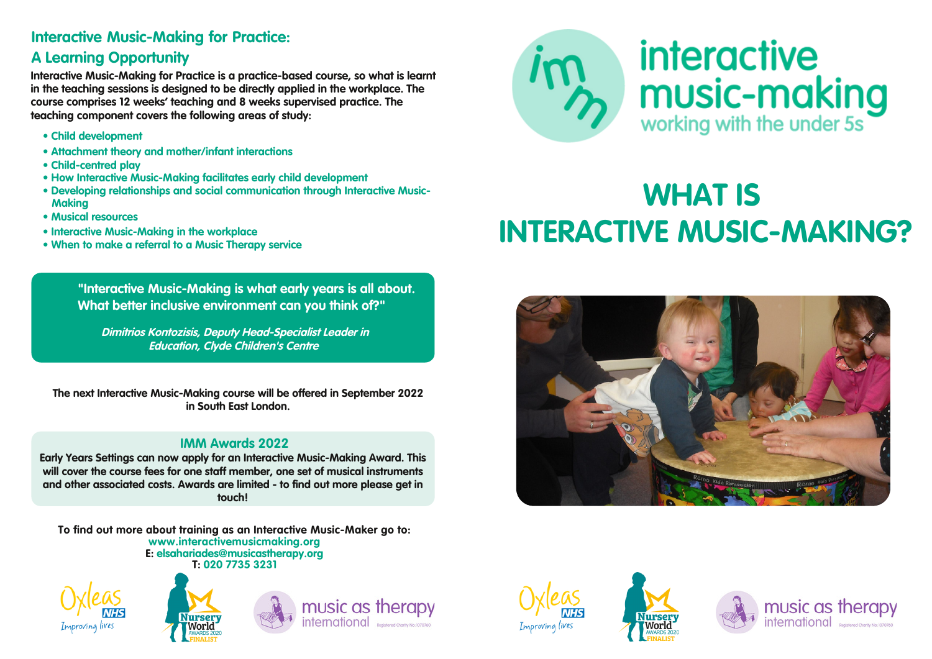## **Interactive Music-Making for Practice:**

# **A Learning Opportunity**

**Interactive Music-Making for Practice is a practice-based course, so what is learnt in the teaching sessions is designed to be directly applied in the workplace. The course comprises 12 weeks' teaching and 8 weeks supervised practice. The teaching component covers the following areas of study:**

- **• Child development**
- **• Attachment theory and mother/infant interactions**
- **• Child-centred play**
- **• How Interactive Music-Making facilitates early child development**
- **• Developing relationships and social communication through Interactive Music-Making**
- **• Musical resources**
- **• Interactive Music-Making in the workplace**
- **• When to make a referral to a Music Therapy service**

**"Interactive Music-Making is what early years is all about. What better inclusive environment can you think of?"**

*Dimitrios Kontozisis, Deputy Head-Specialist Leader in Education, Clyde Children's Centre*

**The next Interactive Music-Making course will be offered in September 2022 in South East London.**

### **IMM Awards 2022**

**Early Years Settings can now apply for an Interactive Music-Making Award. This will cover the course fees for one staff member, one set of musical instruments and other associated costs. Awards are limited - to find out more please get in touch!**

**To find out more about training as an Interactive Music-Maker go to: www.interactivemusicmaking.org E: elsahariades@musicastherapy.org T: 020 7735 3231**















# **WHAT IS INTERACTIVE MUSIC-MAKING?**